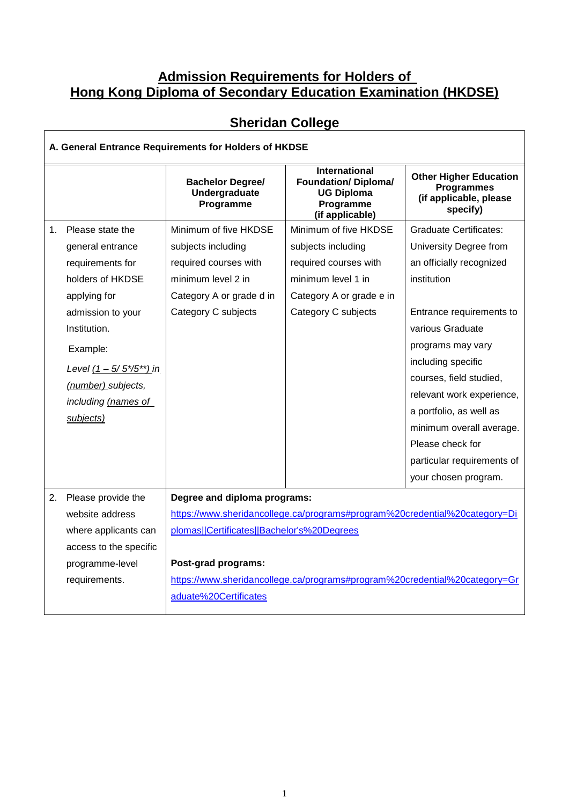## **Admission Requirements for Holders of Hong Kong Diploma of Secondary Education Examination (HKDSE)**

| A. General Entrance Requirements for Holders of HKDSE |                              |                                                                                                                                                                                                                                                               |                                                                                                          |                                                                                          |  |  |
|-------------------------------------------------------|------------------------------|---------------------------------------------------------------------------------------------------------------------------------------------------------------------------------------------------------------------------------------------------------------|----------------------------------------------------------------------------------------------------------|------------------------------------------------------------------------------------------|--|--|
|                                                       |                              | <b>Bachelor Degree/</b><br>Undergraduate<br>Programme                                                                                                                                                                                                         | <b>International</b><br><b>Foundation/ Diploma/</b><br><b>UG Diploma</b><br>Programme<br>(if applicable) | <b>Other Higher Education</b><br><b>Programmes</b><br>(if applicable, please<br>specify) |  |  |
| $1_{-}$                                               | Please state the             | Minimum of five HKDSE                                                                                                                                                                                                                                         | Minimum of five HKDSE                                                                                    | <b>Graduate Certificates:</b>                                                            |  |  |
|                                                       | general entrance             | subjects including                                                                                                                                                                                                                                            | subjects including                                                                                       | University Degree from                                                                   |  |  |
|                                                       | requirements for             | required courses with                                                                                                                                                                                                                                         | required courses with                                                                                    | an officially recognized                                                                 |  |  |
|                                                       | holders of HKDSE             | minimum level 2 in                                                                                                                                                                                                                                            | minimum level 1 in                                                                                       | institution                                                                              |  |  |
|                                                       | applying for                 | Category A or grade d in                                                                                                                                                                                                                                      | Category A or grade e in                                                                                 |                                                                                          |  |  |
|                                                       | admission to your            | Category C subjects                                                                                                                                                                                                                                           | Category C subjects                                                                                      | Entrance requirements to                                                                 |  |  |
|                                                       | Institution.                 |                                                                                                                                                                                                                                                               |                                                                                                          | various Graduate                                                                         |  |  |
|                                                       | Example:                     |                                                                                                                                                                                                                                                               |                                                                                                          | programs may vary                                                                        |  |  |
|                                                       | Level $(1 - 5/5*/5^{**})$ in |                                                                                                                                                                                                                                                               |                                                                                                          | including specific                                                                       |  |  |
|                                                       | (number) subjects,           |                                                                                                                                                                                                                                                               |                                                                                                          | courses, field studied,                                                                  |  |  |
|                                                       | including (names of          |                                                                                                                                                                                                                                                               |                                                                                                          | relevant work experience,                                                                |  |  |
|                                                       | subjects)                    |                                                                                                                                                                                                                                                               |                                                                                                          | a portfolio, as well as                                                                  |  |  |
|                                                       |                              |                                                                                                                                                                                                                                                               |                                                                                                          | minimum overall average.                                                                 |  |  |
|                                                       |                              |                                                                                                                                                                                                                                                               |                                                                                                          | Please check for                                                                         |  |  |
|                                                       |                              |                                                                                                                                                                                                                                                               |                                                                                                          | particular requirements of                                                               |  |  |
|                                                       |                              |                                                                                                                                                                                                                                                               |                                                                                                          | your chosen program.                                                                     |  |  |
|                                                       | 2. Please provide the        | Degree and diploma programs:<br>https://www.sheridancollege.ca/programs#program%20credential%20category=Di<br>plomas  Certificates  Bachelor's%20Degrees<br>Post-grad programs:<br>https://www.sheridancollege.ca/programs#program%20credential%20category=Gr |                                                                                                          |                                                                                          |  |  |
|                                                       | website address              |                                                                                                                                                                                                                                                               |                                                                                                          |                                                                                          |  |  |
|                                                       | where applicants can         |                                                                                                                                                                                                                                                               |                                                                                                          |                                                                                          |  |  |
|                                                       | access to the specific       |                                                                                                                                                                                                                                                               |                                                                                                          |                                                                                          |  |  |
|                                                       | programme-level              |                                                                                                                                                                                                                                                               |                                                                                                          |                                                                                          |  |  |
|                                                       | requirements.                |                                                                                                                                                                                                                                                               |                                                                                                          |                                                                                          |  |  |
|                                                       |                              | aduate%20Certificates                                                                                                                                                                                                                                         |                                                                                                          |                                                                                          |  |  |

## **Sheridan College**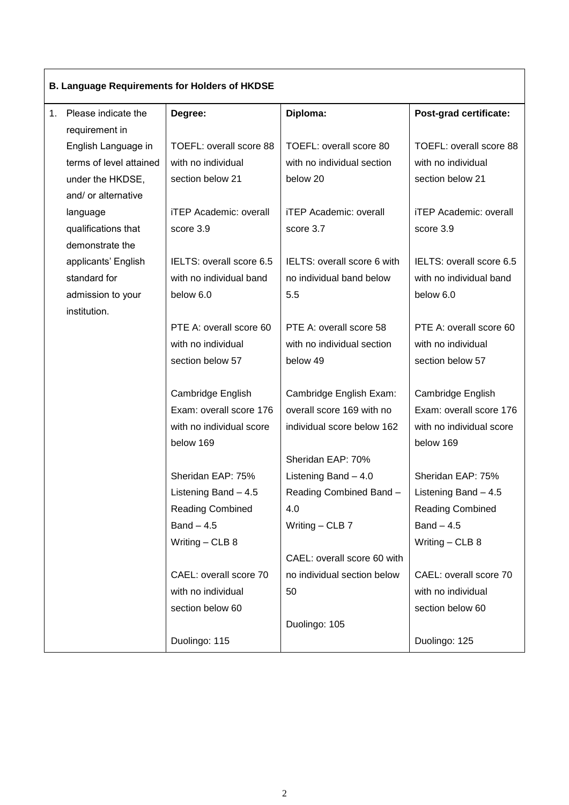| <b>B. Language Requirements for Holders of HKDSE</b> |                         |                               |                               |                               |  |  |
|------------------------------------------------------|-------------------------|-------------------------------|-------------------------------|-------------------------------|--|--|
|                                                      | 1. Please indicate the  | Degree:                       | Diploma:                      | Post-grad certificate:        |  |  |
|                                                      | requirement in          |                               |                               |                               |  |  |
|                                                      | English Language in     | TOEFL: overall score 88       | TOEFL: overall score 80       | TOEFL: overall score 88       |  |  |
|                                                      | terms of level attained | with no individual            | with no individual section    | with no individual            |  |  |
|                                                      | under the HKDSE,        | section below 21              | below 20                      | section below 21              |  |  |
|                                                      | and/ or alternative     |                               |                               |                               |  |  |
|                                                      | language                | <b>iTEP Academic: overall</b> | <b>iTEP Academic: overall</b> | <b>iTEP Academic: overall</b> |  |  |
|                                                      | qualifications that     | score 3.9                     | score 3.7                     | score 3.9                     |  |  |
|                                                      | demonstrate the         |                               |                               |                               |  |  |
|                                                      | applicants' English     | IELTS: overall score 6.5      | IELTS: overall score 6 with   | IELTS: overall score 6.5      |  |  |
|                                                      | standard for            | with no individual band       | no individual band below      | with no individual band       |  |  |
|                                                      | admission to your       | below 6.0                     | 5.5                           | below 6.0                     |  |  |
|                                                      | institution.            |                               |                               |                               |  |  |
|                                                      |                         | PTE A: overall score 60       | PTE A: overall score 58       | PTE A: overall score 60       |  |  |
|                                                      |                         | with no individual            | with no individual section    | with no individual            |  |  |
|                                                      |                         | section below 57              | below 49                      | section below 57              |  |  |
|                                                      |                         | Cambridge English             | Cambridge English Exam:       | Cambridge English             |  |  |
|                                                      |                         | Exam: overall score 176       | overall score 169 with no     | Exam: overall score 176       |  |  |
|                                                      |                         | with no individual score      | individual score below 162    | with no individual score      |  |  |
|                                                      |                         | below 169                     |                               | below 169                     |  |  |
|                                                      |                         |                               | Sheridan EAP: 70%             |                               |  |  |
|                                                      |                         | Sheridan EAP: 75%             | Listening Band $-4.0$         | Sheridan EAP: 75%             |  |  |
|                                                      |                         | Listening Band - 4.5          | Reading Combined Band -       | Listening Band $-4.5$         |  |  |
|                                                      |                         | <b>Reading Combined</b>       | 4.0                           | <b>Reading Combined</b>       |  |  |
|                                                      |                         | $Band - 4.5$                  | Writing $-$ CLB 7             | $Band - 4.5$                  |  |  |
|                                                      |                         | Writing $-$ CLB 8             |                               | Writing - CLB 8               |  |  |
|                                                      |                         |                               | CAEL: overall score 60 with   |                               |  |  |
|                                                      |                         | CAEL: overall score 70        | no individual section below   | CAEL: overall score 70        |  |  |
|                                                      |                         | with no individual            | 50                            | with no individual            |  |  |
|                                                      |                         | section below 60              |                               | section below 60              |  |  |
|                                                      |                         |                               | Duolingo: 105                 |                               |  |  |
|                                                      |                         | Duolingo: 115                 |                               | Duolingo: 125                 |  |  |